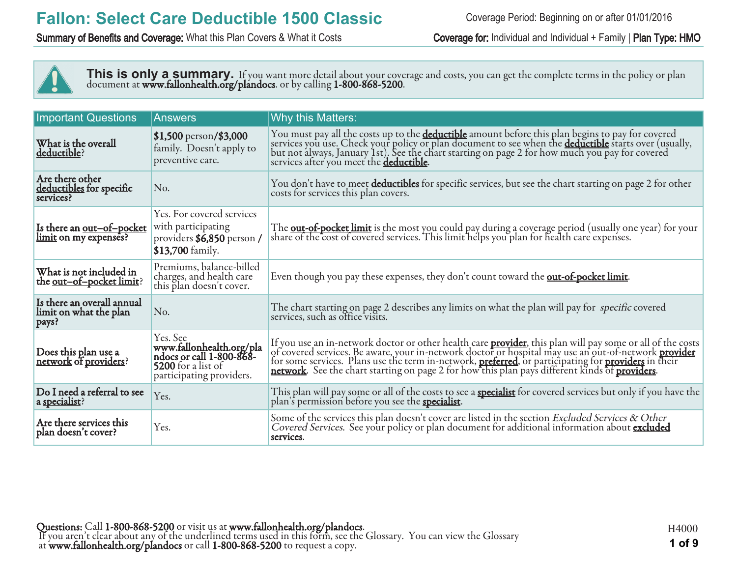Summary of Benefits and Coverage: What this Plan Covers & What it Costs Coverage for: Individual and Individual + Family | Plan Type: HMO



This is only a summary. If you want more detail about your coverage and costs, you can get the complete terms in the policy or plan document at **www.fallonhealth.org/plandocs**. or by calling **1-800-868-5200**.

| <b>Important Questions</b>                                    | <b>Answers</b>                                                                                                            | Why this Matters:                                                                                                                                                                                                                                                                                 |
|---------------------------------------------------------------|---------------------------------------------------------------------------------------------------------------------------|---------------------------------------------------------------------------------------------------------------------------------------------------------------------------------------------------------------------------------------------------------------------------------------------------|
| What is the overall<br>deductible?                            | \$1,500 person/\$3,000<br>family. Doesn't apply to<br>preventive care.                                                    | You must pay all the costs up to the <b>deductible</b> amount before this plan begins to pay for covered<br>services you use. Check your policy or plan document to see when the <b>deductible</b> starts over (usually,<br>but not always, Ja<br>services after you meet the <b>deductible</b> . |
| Are there other<br>deductibles for specific<br>services?      | No.                                                                                                                       | You don't have to meet deductibles for specific services, but see the chart starting on page 2 for other<br>costs for services this plan covers.                                                                                                                                                  |
| Is there an <u>out-of-pocket</u><br>limit on my expenses?     | Yes. For covered services<br>with participating<br>providers \$6,850 person /<br>\$13,700 family.                         | The <b>out-of-pocket limit</b> is the most you could pay during a coverage period (usually one year) for your<br>share of the cost of covered services. This limit helps you plan for health care expenses.                                                                                       |
| What is not included in<br>the <u>out-of-pocket limit</u> ?   | Premiums, balance-billed<br>charges, and health care<br>this plan doesn't cover.                                          | Even though you pay these expenses, they don't count toward the <b>out-of-pocket limit</b> .                                                                                                                                                                                                      |
| Is there an overall annual<br>limit on what the plan<br>pays? | No.                                                                                                                       | The chart starting on page 2 describes any limits on what the plan will pay for specific covered<br>services, such as office visits.                                                                                                                                                              |
| Does this plan use a<br>network of providers?                 | Yes. See<br>www.fallonhealth.org/pla<br>ndocs or call 1-800-868-<br><b>5200</b> for a list of<br>participating providers. | If you use an in-network doctor or other health care <b>provider</b> , this plan will pay some or all of the costs of covered services. Be aware, your in-network doctor or hospital may use an out-of-network <b>provider</b> for some s                                                         |
| Do I need a referral to see<br>a specialist?                  | Yes.                                                                                                                      | This plan will pay some or all of the costs to see a <b>specialist</b> for covered services but only if you have the plan's permission before you see the <b>specialist</b> .                                                                                                                     |
| Are there services this<br>plan doesn't cover?                | Yes.                                                                                                                      | Some of the services this plan doesn't cover are listed in the section Excluded Services & Other<br>Covered Services. See your policy or plan document for additional information about excluded<br>services.                                                                                     |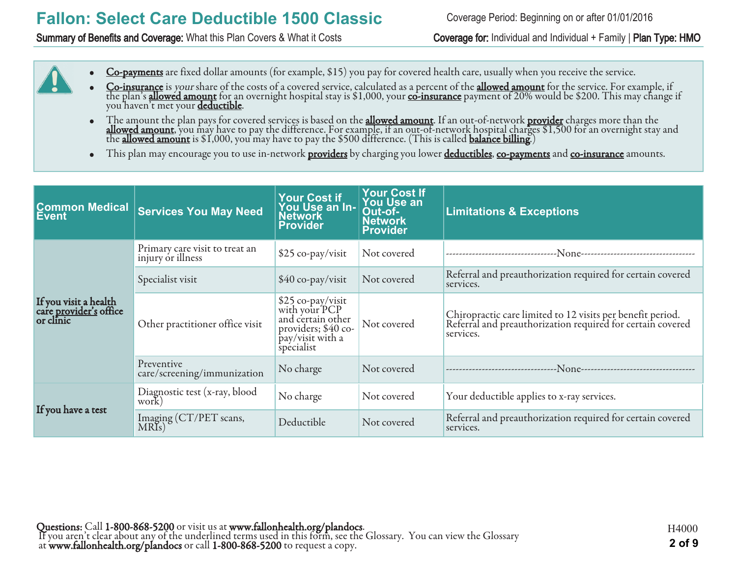#### Summary of Benefits and Coverage: What this Plan Covers & What it Costs Coverage for: Individual and Individual + Family | Plan Type: HMO

Coverage Period: Beginning on or after 01/01/2016

- Co-payments are fixed dollar amounts (for example, \$15) you pay for covered health care, usually when you receive the service.
- Co-insurance is your share of the costs of a covered service, calculated as a percent of the allowed amount for the service. For example, if the plan's <mark>allowed amount</mark> for an overnight hospital stay is \$1,000, your <u>co-insurance</u> payment of 20% would be \$200. This may change if you haven't met your <u>deductible</u>.
- The amount the plan pays for covered services is based on the **allowed amount**. If an out-of-network <mark>provider</mark> charges more than the **allowed amount**, you may have to pay the difference. For example, if an out-of-network hospital charges \$1,500 for an overnight stay and the allowed amount is \$1,000, you may have to pay the \$500 difference. (This is called balance billing.)
- This plan may encourage you to use in-network **providers** by charging you lower **deductibles**, co-payments and co-insurance amounts.

| <b>Common Medical</b><br>Event                                      | <b>Services You May Need</b>                        | <b>Your Cost if</b><br>You Use an In-<br><b>Network</b><br><b>Provider</b>                                        | <b>Your Cost If</b><br>You Use an<br>Out-of-<br><b>Network</b><br><b>Provider</b> | <b>Limitations &amp; Exceptions</b>                                                                                                   |
|---------------------------------------------------------------------|-----------------------------------------------------|-------------------------------------------------------------------------------------------------------------------|-----------------------------------------------------------------------------------|---------------------------------------------------------------------------------------------------------------------------------------|
|                                                                     | Primary care visit to treat an<br>injury or illness | \$25 co-pay/visit                                                                                                 | Not covered                                                                       |                                                                                                                                       |
|                                                                     | Specialist visit                                    | $$40$ co-pay/visit                                                                                                | Not covered                                                                       | Referral and preauthorization required for certain covered<br>services.                                                               |
| If you visit a health<br>care <u>provider's</u> office<br>or clinic | Other practitioner office visit                     | \$25 co-pay/visit<br>with your PCP<br>and certain other<br>providers; $$40$ co-<br>pay/visit with a<br>specialist | Not covered                                                                       | Chiropractic care limited to 12 visits per benefit period.<br>Referral and preauthorization required for certain covered<br>services. |
|                                                                     | Preventive<br>care/screening/immunization           | No charge                                                                                                         | Not covered                                                                       |                                                                                                                                       |
|                                                                     | Diagnostic test (x-ray, blood<br>work               | No charge                                                                                                         | Not covered                                                                       | Your deductible applies to x-ray services.                                                                                            |
| If you have a test                                                  | Imaging (CT/PET scans,<br>MRIs)                     | Deductible                                                                                                        | Not covered                                                                       | Referral and preauthorization required for certain covered<br>services.                                                               |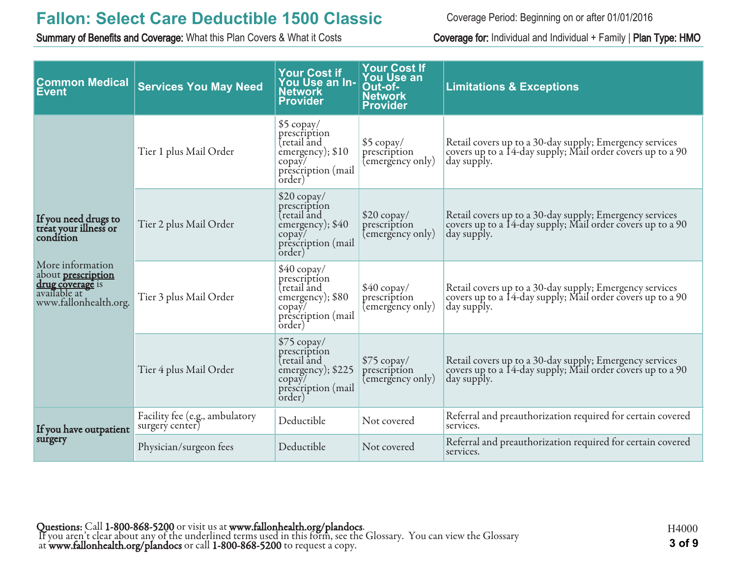Summary of Benefits and Coverage: What this Plan Covers & What it Costs Coverage for: Individual and Individual + Family | Plan Type: HMO

Coverage Period: Beginning on or after 01/01/2016

| <b>Common Medical</b><br><b>Event</b>                                                                      | <b>Services You May Need</b>                      | <b>Your Cost if</b><br>You Use an In-<br><b>Network</b><br><b>Provider</b>                                                   | <b>Your Cost If</b><br>You Use an<br>Out-of-<br><b>Network</b><br>Provider | <b>Limitations &amp; Exceptions</b>                                                                                                  |
|------------------------------------------------------------------------------------------------------------|---------------------------------------------------|------------------------------------------------------------------------------------------------------------------------------|----------------------------------------------------------------------------|--------------------------------------------------------------------------------------------------------------------------------------|
|                                                                                                            | Tier 1 plus Mail Order                            | \$5 copay/<br>prescription<br>tretail and<br>emergency); \$10<br>$\text{copay}/$<br>prescription (mail<br>order)             | $$5$ copay/<br>prescription<br>(emergency only)                            | Retail covers up to a 30-day supply; Emergency services<br>covers up to a 14-day supply; Mail order covers up to a 90<br>day supply. |
| If you need drugs to<br>treat your illness or                                                              | Tier 2 plus Mail Order                            | $$20$ copay/<br>prescription<br>tretail and<br>emergency); \$40<br>$\text{copay}/$<br>prescription (mail<br>order)           | $$20$ copay/<br>prescription<br>(emergency only)                           | Retail covers up to a 30-day supply; Emergency services<br>covers up to a 14-day supply; Mail order covers up to a 90<br>day supply. |
| More information<br>about <b>prescription</b><br>drug coverage is<br>available at<br>www.fallonhealth.org. | Tier 3 plus Mail Order                            | $$40$ copay/<br>prescription<br>tretail and<br>emergency); \$80<br>$\text{copay}/$<br>prescription (mail<br>order)           | $$40$ copay/<br>prescription<br>(emergency only)                           | Retail covers up to a 30-day supply; Emergency services<br>covers up to a 14-day supply; Mail order covers up to a 90<br>day supply. |
|                                                                                                            | Tier 4 plus Mail Order                            | $$75$ copay/<br>prescription<br>(retail and<br>emergency); \$225<br>$\text{copay}/$<br>prescription (mail<br>$\alpha$ order) | $$75$ copay/<br>prescription<br>(emergency only)                           | Retail covers up to a 30-day supply; Emergency services<br>covers up to a 14-day supply; Mail order covers up to a 90<br>day supply. |
| If you have outpatient                                                                                     | Facility fee (e.g., ambulatory<br>surgery center) | Deductible                                                                                                                   | Not covered                                                                | Referral and preauthorization required for certain covered<br>services.                                                              |
| surgery                                                                                                    | Physician/surgeon fees                            | Deductible                                                                                                                   | Not covered                                                                | Referral and preauthorization required for certain covered<br>services.                                                              |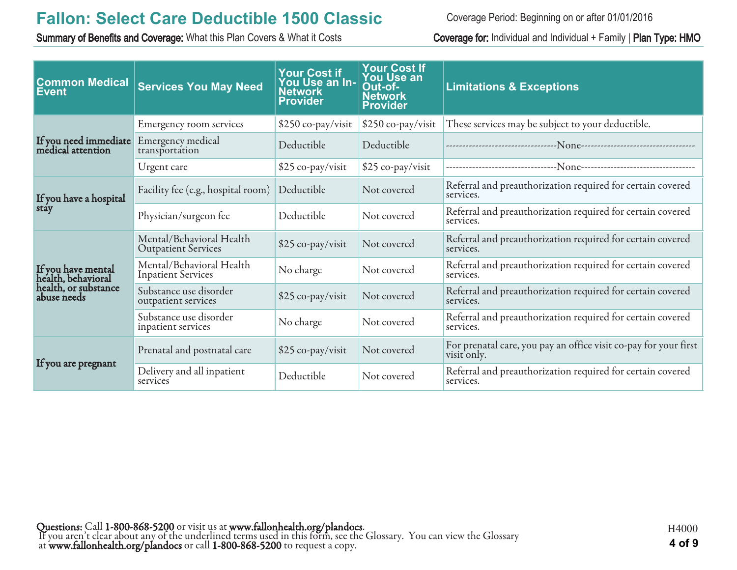Summary of Benefits and Coverage: What this Plan Covers & What it Costs Coverage for: Individual and Individual + Family | Plan Type: HMO

Coverage Period: Beginning on or after 01/01/2016

| <b>Common Medical</b><br><b>Event</b>      | <b>Services You May Need</b>                           | <b>Your Cost if</b><br>You Use an In-<br><b>Network</b><br><b>Provider</b> | <b>Your Cost If</b><br><b>You Use an</b><br>Out-of-<br><b>Network</b><br><b>Provider</b> | <b>Limitations &amp; Exceptions</b>                                             |
|--------------------------------------------|--------------------------------------------------------|----------------------------------------------------------------------------|------------------------------------------------------------------------------------------|---------------------------------------------------------------------------------|
|                                            | Emergency room services                                | \$250 co-pay/visit                                                         | \$250 co-pay/visit                                                                       | These services may be subject to your deductible.                               |
| If you need immediate<br>medical attention | Emergency medical<br>transportation                    | Deductible                                                                 | Deductible                                                                               |                                                                                 |
|                                            | Urgent care                                            | \$25 co-pay/visit                                                          | \$25 co-pay/visit                                                                        |                                                                                 |
| If you have a hospital                     | Facility fee (e.g., hospital room)                     | Deductible                                                                 | Not covered                                                                              | Referral and preauthorization required for certain covered<br>services.         |
| stay                                       | Deductible<br>Physician/surgeon fee<br>Not covered     |                                                                            |                                                                                          | Referral and preauthorization required for certain covered<br>services.         |
|                                            | Mental/Behavioral Health<br><b>Outpatient Services</b> | \$25 co-pay/visit                                                          | Not covered                                                                              | Referral and preauthorization required for certain covered<br>services.         |
| If you have mental<br>health, behavioral   | Mental/Behavioral Health<br><b>Inpatient Services</b>  | No charge                                                                  | Not covered                                                                              | Referral and preauthorization required for certain covered<br>services.         |
| health, or substance<br>abuse needs        | Substance use disorder<br>outpatient services          | \$25 co-pay/visit                                                          | Not covered                                                                              | Referral and preauthorization required for certain covered<br>services.         |
|                                            | Substance use disorder<br>inpatient services           | No charge                                                                  | Not covered                                                                              | Referral and preauthorization required for certain covered<br>services.         |
| If you are pregnant                        | Prenatal and postnatal care                            | \$25 co-pay/visit                                                          | Not covered                                                                              | For prenatal care, you pay an office visit co-pay for your first<br>visit only. |
|                                            | Delivery and all inpatient<br>services                 | Deductible                                                                 | Not covered                                                                              | Referral and preauthorization required for certain covered<br>services.         |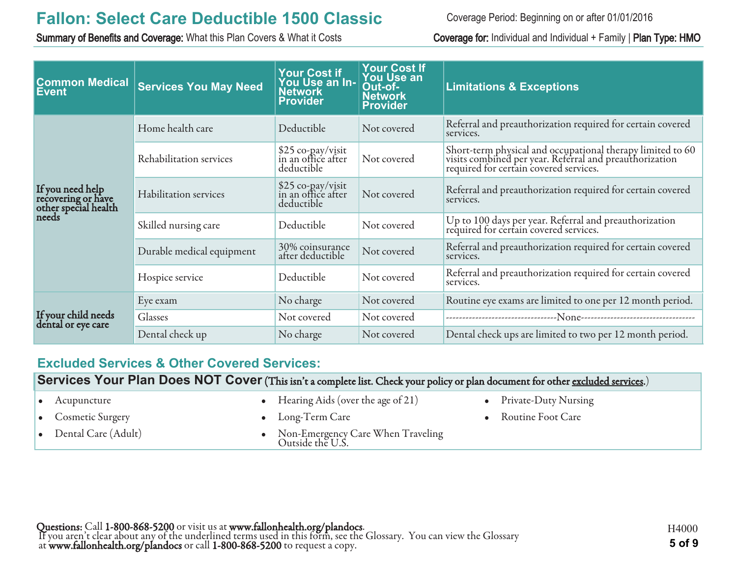Summary of Benefits and Coverage: What this Plan Covers & What it Costs Coverage for: Individual and Individual + Family | Plan Type: HMO

Coverage Period: Beginning on or after 01/01/2016

| <b>Common Medical</b><br>Event                                          | <b>Services You May Need</b> | <b>Your Cost if</b><br>You Use an In-<br><b>Network</b><br>Provider | <b>Your Cost If</b><br><b>You Use an</b><br>Out-of-<br><b>Network</b><br><b>Provider</b> | <b>Limitations &amp; Exceptions</b>                                                                                                                             |
|-------------------------------------------------------------------------|------------------------------|---------------------------------------------------------------------|------------------------------------------------------------------------------------------|-----------------------------------------------------------------------------------------------------------------------------------------------------------------|
|                                                                         | Home health care             | Deductible                                                          | Not covered                                                                              | Referral and preauthorization required for certain covered<br>services.                                                                                         |
| If you need help<br>recovering or have<br>other special health<br>needs | Rehabilitation services      | \$25 co-pay/visit<br>in an office after<br>deductible               | Not covered                                                                              | Short-term physical and occupational therapy limited to 60<br>visits combined per year. Referral and preauthorization<br>required for certain covered services. |
|                                                                         | Habilitation services        | \$25 co-pay/visit<br>in an office after<br>deductible               | Not covered                                                                              | Referral and preauthorization required for certain covered<br>services.                                                                                         |
|                                                                         | Skilled nursing care         | Deductible                                                          | Not covered                                                                              | Up to 100 days per year. Referral and preauthorization<br>required for certain covered services.                                                                |
|                                                                         | Durable medical equipment    | 30% coinsurance<br>after deductible                                 | Not covered                                                                              | Referral and preauthorization required for certain covered<br>services.                                                                                         |
|                                                                         | Hospice service              | Deductible                                                          | Not covered                                                                              | Referral and preauthorization required for certain covered<br>services.                                                                                         |
|                                                                         | Eye exam                     | No charge                                                           | Not covered                                                                              | Routine eye exams are limited to one per 12 month period.                                                                                                       |
| If your child needs<br>dental or eye care                               | Glasses                      | Not covered                                                         | Not covered                                                                              |                                                                                                                                                                 |
|                                                                         | Dental check up              | No charge                                                           | Not covered                                                                              | Dental check ups are limited to two per 12 month period.                                                                                                        |

#### **Excluded Services & Other Covered Services:**

**Services Your Plan Does NOT Cover** (This isn't a complete list. Check your policy or plan document for other excluded services.)

| $\bullet$ Acupuncture         | • Hearing Aids (over the age of $21$ )                | • Private-Duty Nursing |
|-------------------------------|-------------------------------------------------------|------------------------|
| • Cosmetic Surgery            | $\bullet$ Long-Term Care                              | • Routine Foot Care    |
| $\bullet$ Dental Care (Adult) | Non-Emergency Care When Traveling<br>Outside the U.S. |                        |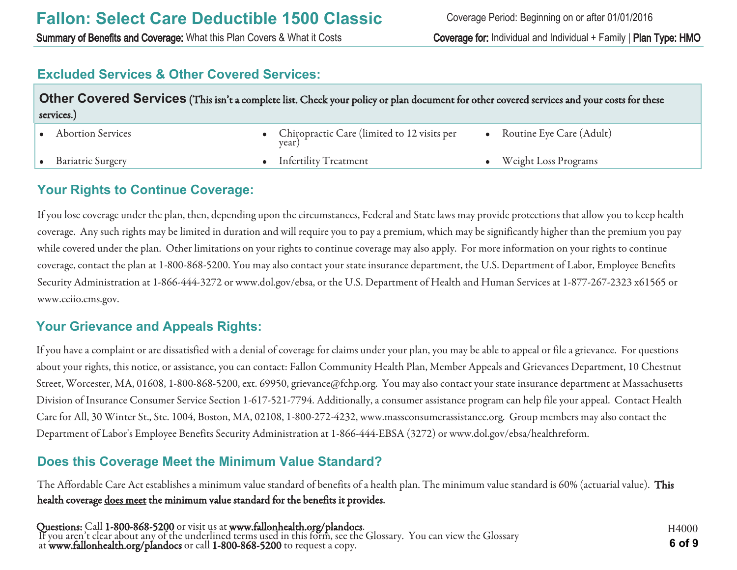Summary of Benefits and Coverage: What this Plan Covers & What it Costs Coverage for: Individual and Individual + Family | Plan Type: HMO

#### **Excluded Services & Other Covered Services:**

| Other Covered Services (This isn't a complete list. Check your policy or plan document for other covered services and your costs for these<br>services.) |                          |  |                                                        |  |                             |
|----------------------------------------------------------------------------------------------------------------------------------------------------------|--------------------------|--|--------------------------------------------------------|--|-----------------------------|
|                                                                                                                                                          | <b>Abortion Services</b> |  | • Chiropractic Care (limited to 12 visits per<br>year) |  | Routine Eye Care (Adult)    |
|                                                                                                                                                          | <b>Bariatric Surgery</b> |  | • Infertility Treatment                                |  | <b>Weight Loss Programs</b> |

#### **Your Rights to Continue Coverage:**

If you lose coverage under the plan, then, depending upon the circumstances, Federal and State laws may provide protections that allow you to keep health coverage. Any such rights may be limited in duration and will require you to pay a premium, which may be significantly higher than the premium you pay while covered under the plan. Other limitations on your rights to continue coverage may also apply. For more information on your rights to continue coverage, contact the plan at 1-800-868-5200. You may also contact your state insurance department, the U.S. Department of Labor, Employee Benefits Security Administration at 1-866-444-3272 or www.dol.gov/ebsa, or the U.S. Department of Health and Human Services at 1-877-267-2323 x61565 or www.cciio.cms.gov.

#### **Your Grievance and Appeals Rights:**

If you have a complaint or are dissatisfied with a denial of coverage for claims under your plan, you may be able to appeal or file a grievance. For questions about your rights, this notice, or assistance, you can contact: Fallon Community Health Plan, Member Appeals and Grievances Department, 10 Chestnut Street, Worcester, MA, 01608, 1-800-868-5200, ext. 69950, grievance@fchp.org. You may also contact your state insurance department at Massachusetts Division of Insurance Consumer Service Section 1-617-521-7794. Additionally, a consumer assistance program can help file your appeal. Contact Health Care for All, 30 Winter St., Ste. 1004, Boston, MA, 02108, 1-800-272-4232, www.massconsumerassistance.org. Group members may also contact the Department of Labor's Employee Benefits Security Administration at 1-866-444-EBSA (3272) or www.dol.gov/ebsa/healthreform.

### **Does this Coverage Meet the Minimum Value Standard?**

The Affordable Care Act establishes a minimum value standard of benefits of a health plan. The minimum value standard is 60% (actuarial value). This health coverage does meet the minimum value standard for the benefits it provides.

Questions: Call 1-800-868-5200 or visit us at www.fallonhealth.org/plandocs. If you aren't clear about any of the underlined terms used in this form, see the Glossary. You can view the Glossary at www.fallonhealth.org/plandocs or call 1-800-868-5200 to request a copy. **6 of 9**

H4000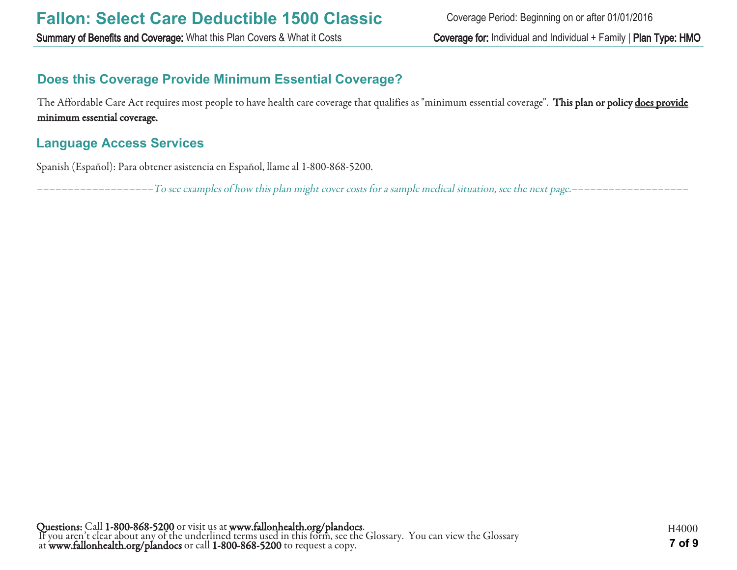Summary of Benefits and Coverage: What this Plan Covers & What it Costs Coverage for: Individual and Individual + Family | Plan Type: HMO

### **Does this Coverage Provide Minimum Essential Coverage?**

The Affordable Care Act requires most people to have health care coverage that qualifies as "minimum essential coverage". This plan or policy does provide minimum essential coverage.

#### **Language Access Services**

Spanish (Español): Para obtener asistencia en Español, llame al 1-800-868-5200.

–––––––––––––––––––To see examples of how this plan might cover costs for a sample medical situation, see the next page.–––––––––––––––––––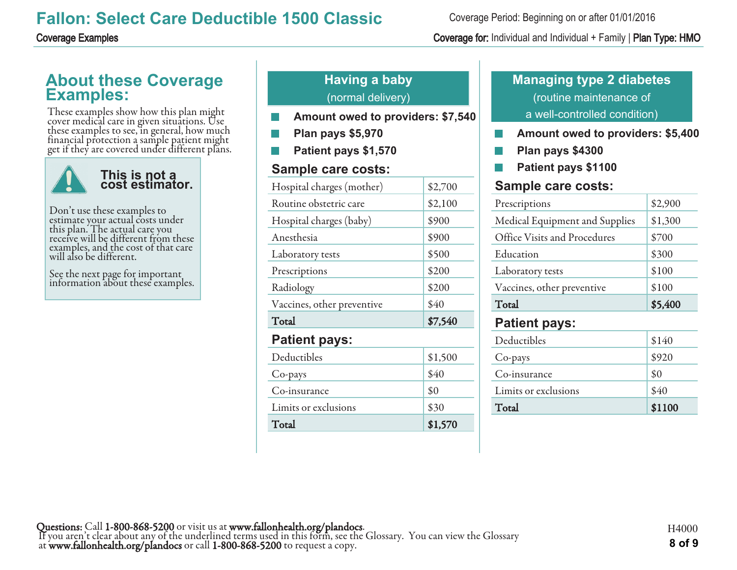### **About these Coverage Examples:**

These examples show how this plan might cover medical care in given situations. Use these examples to see, in general, how much financial protection a sample patient might get if they are covered under different plans.



Don't use these examples to estimate your actual costs under this plan. The actual care you receive will be different from these examples, and the cost of that care will also be different.

See the next page for important information about these examples.

### **Having a baby** (normal delivery)

- **Amount owed to providers: \$7,540**
- **Plan pays \$5,970**
- **Patient pays \$1,570**

#### **Sample care costs:**

| Hospital charges (mother)  | \$2,700 |
|----------------------------|---------|
| Routine obstetric care     | \$2,100 |
| Hospital charges (baby)    | \$900   |
| Anesthesia                 | \$900   |
| Laboratory tests           | \$500   |
| Prescriptions              | \$200   |
| Radiology                  | \$200   |
| Vaccines, other preventive | \$40    |
| Total                      | \$7,540 |
| <b>Patient pays:</b>       |         |
| Deductibles                | \$1,500 |
| Co-pays                    | \$40    |
| Co-insurance               | \$0     |
| Limits or exclusions       | \$30    |
| Total                      | \$1,570 |

### **Managing type 2 diabetes** (routine maintenance of a well-controlled condition)

- **Amount owed to providers: \$5,400**
- **Plan pays \$4300** F.
- **Patient pays \$1100**

#### **Sample care costs:**

| Prescriptions                  | \$2,900 |
|--------------------------------|---------|
| Medical Equipment and Supplies | \$1,300 |
| Office Visits and Procedures   | \$700   |
| Education                      | \$300   |
| Laboratory tests               | \$100   |
| Vaccines, other preventive     | \$100   |
| Total                          | \$5,400 |
|                                |         |
| <b>Patient pays:</b>           |         |
| Deductibles                    | \$140   |
| Co-pays                        | \$920   |

Limits or exclusions 540 Total \$1100

Coverage Period: Beginning on or after 01/01/2016

#### Coverage Examples Coverage for: Individual and Individual + Family | Plan Type: HMO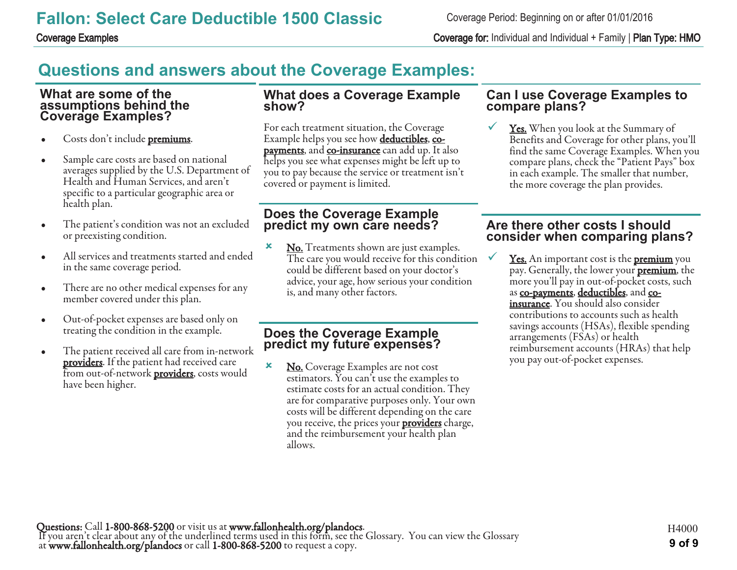Coverage Period: Beginning on or after 01/01/2016

Coverage Examples Coverage for: Individual and Individual + Family | Plan Type: HMO

# **Questions and answers about the Coverage Examples:**

#### **What are some of the assumptions behind the Coverage Examples?**

- Costs don't include **premiums**.
- Sample care costs are based on national averages supplied by the U.S. Department of Health and Human Services, and aren't specific to a particular geographic area or health plan.
- The patient's condition was not an excluded or preexisting condition.
- All services and treatments started and ended in the same coverage period.
- There are no other medical expenses for any member covered under this plan.
- Out-of-pocket expenses are based only on treating the condition in the example.
- The patient received all care from in-network **providers**. If the patient had received care from out-of-network **providers**, costs would have been higher.

#### **What does a Coverage Example show?**

For each treatment situation, the Coverage Example helps you see how **deductibles**, copayments, and co-insurance can add up. It also helps you see what expenses might be left up to you to pay because the service or treatment isn't covered or payment is limited.

#### **Does the Coverage Example predict my own care needs?**

**x** No. Treatments shown are just examples. The care you would receive for this condition could be different based on your doctor's advice, your age, how serious your condition is, and many other factors.

#### **Does the Coverage Example predict my future expenses?**

**×** No. Coverage Examples are not cost estimators. You can't use the examples to estimate costs for an actual condition. They are for comparative purposes only. Your own costs will be different depending on the care you receive, the prices your **providers** charge, and the reimbursement your health plan allows.

#### **Can I use Coverage Examples to compare plans?**

**<u>Yes.</u>** When you look at the Summary of Benefits and Coverage for other plans, you'll find the same Coverage Examples. When you compare plans, check the "Patient Pays" box in each example. The smaller that number, the more coverage the plan provides.

#### **Are there other costs I should consider when comparing plans?**

Yes. An important cost is the **premium** you pay. Generally, the lower your **premium**, the more you'll pay in out-of-pocket costs, such as co-payments, deductibles, and coinsurance. You should also consider contributions to accounts such as health savings accounts (HSAs), flexible spending arrangements (FSAs) or health reimbursement accounts (HRAs) that help you pay out-of-pocket expenses.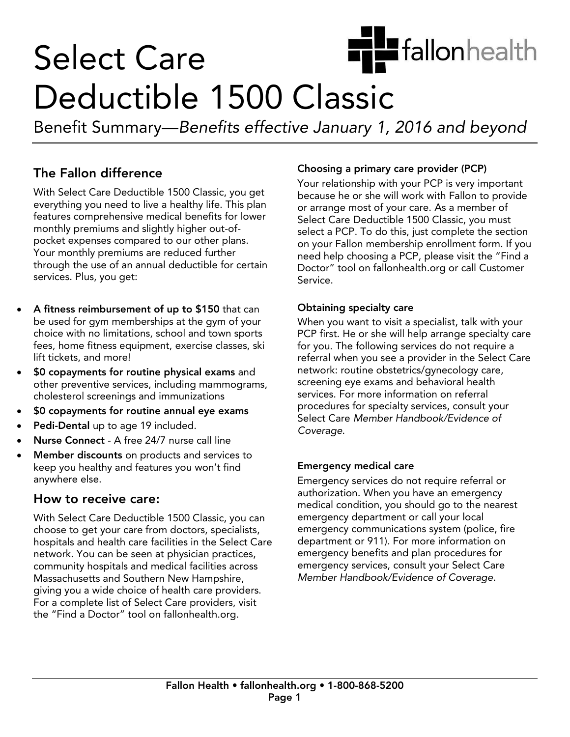

# **Select Care** Deductible 1500 Classic

Benefit Summary—Benefits effective January 1, 2016 and beyond

### The Fallon difference

With Select Care Deductible 1500 Classic, you get everything you need to live a healthy life. This plan features comprehensive medical benefits for lower monthly premiums and slightly higher out-ofpocket expenses compared to our other plans. Your monthly premiums are reduced further through the use of an annual deductible for certain services. Plus, you get: services. Plus, you get:

- A fitness reimbursement of up to \$150 that can<br>be used for gym memberships at the gym of your choice with no limitations, school and town sports fees, home fitness equipment, exercise classes, ski lift tickets, and more!
- \$0 copayments for routine physical exams and<br>other preventive services including mammogram other preventive services, including mammograms,
- **SO copayments for routine annual eye exams**<br> **Bedi Dantel up to ana 40 included**
- Pedi-Dental up to age 19 included.
- Nurse Connect A free 24/7 nurse call line
- Member discounts on products and services to<br>keep you healthy and features you won't find anywhere else. anywhere else.

With Select Care Deductible 1500 Classic, you can choose to get your care from doctors, specialists, hospitals and health care facilities in the Select Care network. You can be seen at physician practices, community hospitals and medical facilities across Massachusetts and Southern New Hampshire, giving you a wide choice of health care providers. For a complete list of Select Care providers, visit  $\frac{1}{2}$  For a contract Care provider  $\frac{1}{2}$  contract  $\frac{1}{2}$  contract  $\frac{1}{2}$  contract  $\frac{1}{2}$  contract  $\frac{1}{2}$  contract  $\frac{1}{2}$  contract  $\frac{1}{2}$  contract  $\frac{1}{2}$  contract  $\frac{1}{2}$  contract  $\frac{1}{2}$  c the "Find a Doctor" tool on fallonhealth.org.

**Choosing a primary care provider (PCP)**<br>Your relationship with your PCP is very important because he or she will work with Fallon to provide or arrange most of your care. As a member of Select Care Deductible 1500 Classic, you must select a PCP. To do this, just complete the section on your Fallon membership enrollment form. If you need help choosing a PCP, please visit the "Find a Doctor" tool on fallonhealth.org or call Customer Service. Service.

Obtaining specialty care<br>When you want to visit a specialist, talk with your PCP first. He or she will help arrange specialty care for you. The following services do not require a referral when you see a provider in the Select Care network: routine obstetrics/gynecology care, screening eye exams and behavioral health services. For more information on referral procedures for specialty services, consult your Select Care Member Handbook/Evidence of Coverage. Coverage.

**Emergency medical care**<br>Emergency services do not require referral or authorization. When you have an emergency medical condition, you should go to the nearest emergency department or call your local emergency communications system (police, fire department or 911). For more information on emergency benefits and plan procedures for emergency services, consult your Select Care emergency services, consult your service care.<br>Member Handbook/Evidence of Coverage Member Handbook/Evidence of Coverage.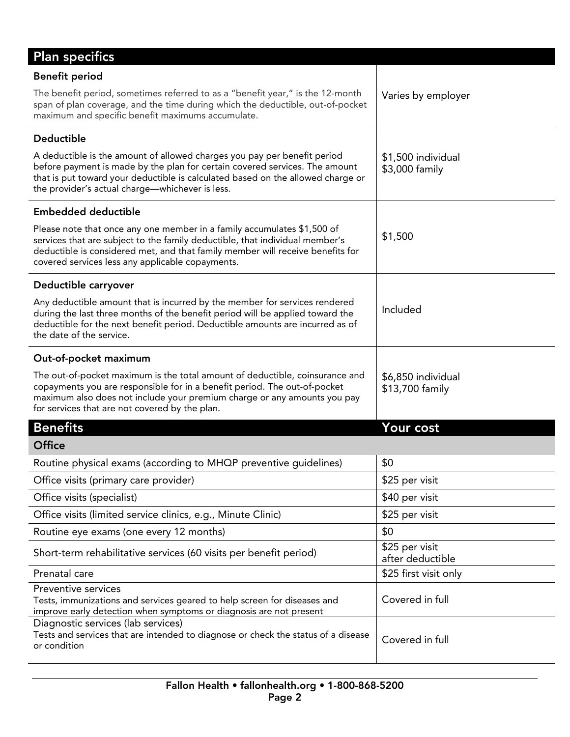| <b>Plan specifics</b>                                                                                                                                                                                                                                                                         |                                       |
|-----------------------------------------------------------------------------------------------------------------------------------------------------------------------------------------------------------------------------------------------------------------------------------------------|---------------------------------------|
| <b>Benefit period</b>                                                                                                                                                                                                                                                                         |                                       |
| The benefit period, sometimes referred to as a "benefit year," is the 12-month<br>span of plan coverage, and the time during which the deductible, out-of-pocket<br>maximum and specific benefit maximums accumulate.                                                                         | Varies by employer                    |
| Deductible                                                                                                                                                                                                                                                                                    |                                       |
| A deductible is the amount of allowed charges you pay per benefit period<br>before payment is made by the plan for certain covered services. The amount<br>that is put toward your deductible is calculated based on the allowed charge or<br>the provider's actual charge-whichever is less. | \$1,500 individual<br>\$3,000 family  |
| <b>Embedded deductible</b>                                                                                                                                                                                                                                                                    |                                       |
| Please note that once any one member in a family accumulates \$1,500 of<br>services that are subject to the family deductible, that individual member's<br>deductible is considered met, and that family member will receive benefits for<br>covered services less any applicable copayments. | \$1,500                               |
| Deductible carryover                                                                                                                                                                                                                                                                          |                                       |
| Any deductible amount that is incurred by the member for services rendered<br>during the last three months of the benefit period will be applied toward the<br>deductible for the next benefit period. Deductible amounts are incurred as of<br>the date of the service.                      | Included                              |
| Out-of-pocket maximum                                                                                                                                                                                                                                                                         |                                       |
| The out-of-pocket maximum is the total amount of deductible, coinsurance and<br>copayments you are responsible for in a benefit period. The out-of-pocket<br>maximum also does not include your premium charge or any amounts you pay<br>for services that are not covered by the plan.       | \$6,850 individual<br>\$13,700 family |
| <b>Benefits</b>                                                                                                                                                                                                                                                                               | Your cost                             |
| <b>Office</b>                                                                                                                                                                                                                                                                                 |                                       |
| Routine physical exams (according to MHQP preventive guidelines)                                                                                                                                                                                                                              | \$0                                   |
| Office visits (primary care provider)                                                                                                                                                                                                                                                         | \$25 per visit                        |
| Office visits (specialist)                                                                                                                                                                                                                                                                    | \$40 per visit                        |
| Office visits (limited service clinics, e.g., Minute Clinic)                                                                                                                                                                                                                                  | \$25 per visit                        |
| Routine eye exams (one every 12 months)                                                                                                                                                                                                                                                       | \$0                                   |
| Short-term rehabilitative services (60 visits per benefit period)                                                                                                                                                                                                                             | \$25 per visit<br>after deductible    |
| Prenatal care                                                                                                                                                                                                                                                                                 | \$25 first visit only                 |
| Preventive services<br>Tests, immunizations and services geared to help screen for diseases and<br>improve early detection when symptoms or diagnosis are not present                                                                                                                         | Covered in full                       |
| Diagnostic services (lab services)<br>Tests and services that are intended to diagnose or check the status of a disease<br>or condition                                                                                                                                                       | Covered in full                       |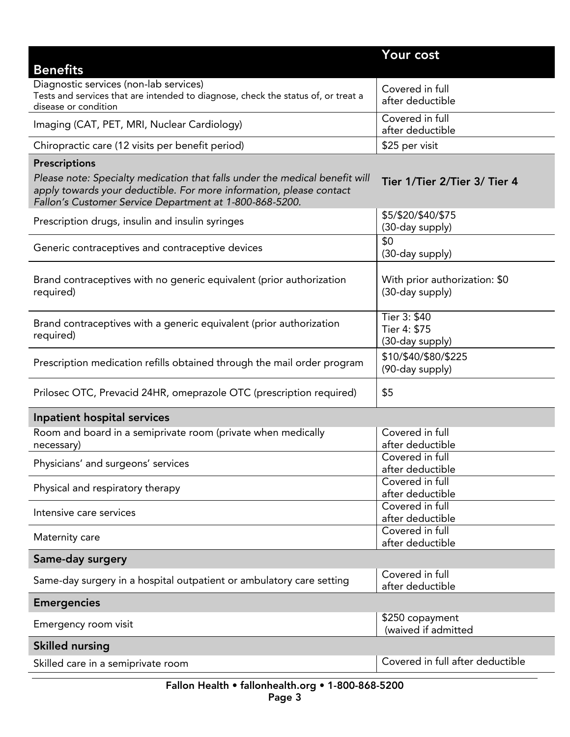|                                                                                                                                                                                                               | Your cost                                        |
|---------------------------------------------------------------------------------------------------------------------------------------------------------------------------------------------------------------|--------------------------------------------------|
| <b>Benefits</b>                                                                                                                                                                                               |                                                  |
| Diagnostic services (non-lab services)<br>Tests and services that are intended to diagnose, check the status of, or treat a<br>disease or condition                                                           | Covered in full<br>after deductible              |
| Imaging (CAT, PET, MRI, Nuclear Cardiology)                                                                                                                                                                   | Covered in full<br>after deductible              |
| Chiropractic care (12 visits per benefit period)                                                                                                                                                              | \$25 per visit                                   |
| <b>Prescriptions</b>                                                                                                                                                                                          |                                                  |
| Please note: Specialty medication that falls under the medical benefit will<br>apply towards your deductible. For more information, please contact<br>Fallon's Customer Service Department at 1-800-868-5200. | Tier 1/Tier 2/Tier 3/ Tier 4                     |
| Prescription drugs, insulin and insulin syringes                                                                                                                                                              | \$5/\$20/\$40/\$75<br>(30-day supply)            |
| Generic contraceptives and contraceptive devices                                                                                                                                                              | \$0<br>(30-day supply)                           |
| Brand contraceptives with no generic equivalent (prior authorization<br>required)                                                                                                                             | With prior authorization: \$0<br>(30-day supply) |
| Brand contraceptives with a generic equivalent (prior authorization<br>required)                                                                                                                              | Tier 3: \$40<br>Tier 4: \$75<br>(30-day supply)  |
| Prescription medication refills obtained through the mail order program                                                                                                                                       | \$10/\$40/\$80/\$225<br>(90-day supply)          |
| Prilosec OTC, Prevacid 24HR, omeprazole OTC (prescription required)                                                                                                                                           | \$5                                              |
| Inpatient hospital services                                                                                                                                                                                   |                                                  |
| Room and board in a semiprivate room (private when medically<br>necessary)                                                                                                                                    | Covered in full<br>after deductible              |
| Physicians' and surgeons' services                                                                                                                                                                            | Covered in full<br>after deductible              |
| Physical and respiratory therapy                                                                                                                                                                              | Covered in full<br>after deductible              |
| Intensive care services                                                                                                                                                                                       | Covered in full<br>after deductible              |
| Maternity care                                                                                                                                                                                                | Covered in full<br>after deductible              |
| Same-day surgery                                                                                                                                                                                              |                                                  |
| Same-day surgery in a hospital outpatient or ambulatory care setting                                                                                                                                          | Covered in full<br>after deductible              |
| <b>Emergencies</b>                                                                                                                                                                                            |                                                  |
| Emergency room visit                                                                                                                                                                                          | \$250 copayment<br>(waived if admitted           |
| <b>Skilled nursing</b>                                                                                                                                                                                        |                                                  |
| Skilled care in a semiprivate room                                                                                                                                                                            | Covered in full after deductible                 |
| Eallon Health • fallonhealth org • 1-800-868-5200                                                                                                                                                             |                                                  |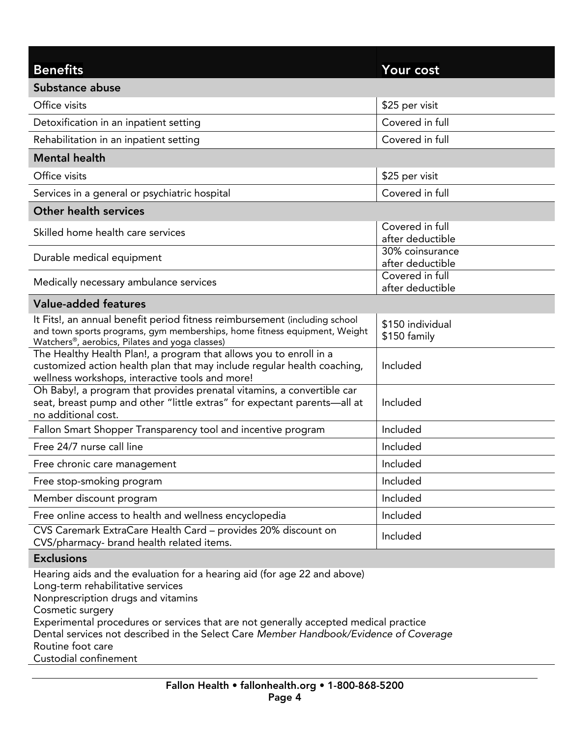| <b>Benefits</b>                                                                                                                                                                                                                                                                                                                                                               | Your cost                           |
|-------------------------------------------------------------------------------------------------------------------------------------------------------------------------------------------------------------------------------------------------------------------------------------------------------------------------------------------------------------------------------|-------------------------------------|
| Substance abuse                                                                                                                                                                                                                                                                                                                                                               |                                     |
| Office visits                                                                                                                                                                                                                                                                                                                                                                 | \$25 per visit                      |
| Detoxification in an inpatient setting                                                                                                                                                                                                                                                                                                                                        | Covered in full                     |
| Rehabilitation in an inpatient setting                                                                                                                                                                                                                                                                                                                                        | Covered in full                     |
| <b>Mental health</b>                                                                                                                                                                                                                                                                                                                                                          |                                     |
| Office visits                                                                                                                                                                                                                                                                                                                                                                 | \$25 per visit                      |
| Services in a general or psychiatric hospital                                                                                                                                                                                                                                                                                                                                 | Covered in full                     |
| <b>Other health services</b>                                                                                                                                                                                                                                                                                                                                                  |                                     |
| Skilled home health care services                                                                                                                                                                                                                                                                                                                                             | Covered in full<br>after deductible |
| Durable medical equipment                                                                                                                                                                                                                                                                                                                                                     | 30% coinsurance<br>after deductible |
| Medically necessary ambulance services                                                                                                                                                                                                                                                                                                                                        | Covered in full<br>after deductible |
| <b>Value-added features</b>                                                                                                                                                                                                                                                                                                                                                   |                                     |
| It Fits!, an annual benefit period fitness reimbursement (including school<br>and town sports programs, gym memberships, home fitness equipment, Weight<br>Watchers®, aerobics, Pilates and yoga classes)                                                                                                                                                                     | \$150 individual<br>\$150 family    |
| The Healthy Health Plan!, a program that allows you to enroll in a<br>customized action health plan that may include regular health coaching,<br>wellness workshops, interactive tools and more!                                                                                                                                                                              | Included                            |
| Oh Baby!, a program that provides prenatal vitamins, a convertible car<br>seat, breast pump and other "little extras" for expectant parents-all at<br>no additional cost.                                                                                                                                                                                                     | Included                            |
| Fallon Smart Shopper Transparency tool and incentive program                                                                                                                                                                                                                                                                                                                  | Included                            |
| Free 24/7 nurse call line                                                                                                                                                                                                                                                                                                                                                     | Included                            |
| Free chronic care management                                                                                                                                                                                                                                                                                                                                                  | Included                            |
| Free stop-smoking program                                                                                                                                                                                                                                                                                                                                                     | Included                            |
| Member discount program                                                                                                                                                                                                                                                                                                                                                       | Included                            |
| Free online access to health and wellness encyclopedia                                                                                                                                                                                                                                                                                                                        | Included                            |
| CVS Caremark ExtraCare Health Card - provides 20% discount on<br>CVS/pharmacy- brand health related items.                                                                                                                                                                                                                                                                    | Included                            |
| <b>Exclusions</b>                                                                                                                                                                                                                                                                                                                                                             |                                     |
| Hearing aids and the evaluation for a hearing aid (for age 22 and above)<br>Long-term rehabilitative services<br>Nonprescription drugs and vitamins<br>Cosmetic surgery<br>Experimental procedures or services that are not generally accepted medical practice<br>Dental services not described in the Select Care Member Handbook/Evidence of Coverage<br>Routine foot care |                                     |

Custodial confine <u>configuration</u>